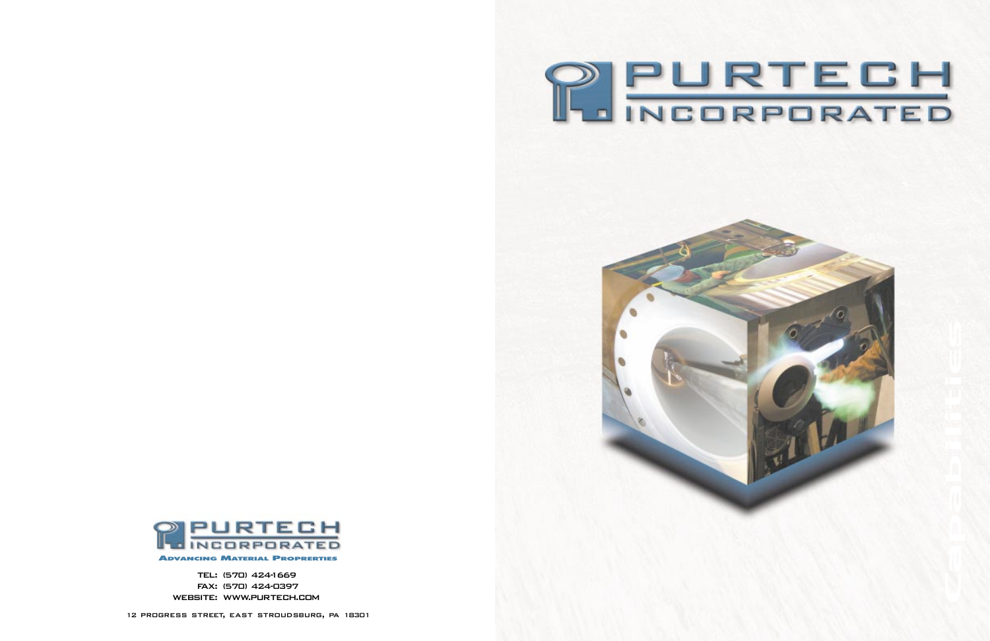



TEL: (570) 424-1669 FAX: (570) 424-0397 WEBSITE: WWW.PURTECH.COM

12 progress street, east stroudsburg, pa 18301